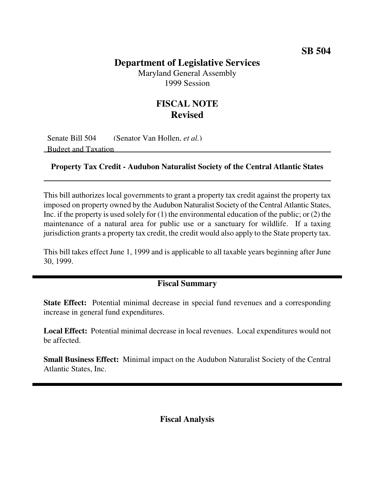## **Department of Legislative Services**

Maryland General Assembly 1999 Session

## **FISCAL NOTE Revised**

Senate Bill 504 (Senator Van Hollen, *et al.*) Budget and Taxation

## **Property Tax Credit - Audubon Naturalist Society of the Central Atlantic States**

This bill authorizes local governments to grant a property tax credit against the property tax imposed on property owned by the Audubon Naturalist Society of the Central Atlantic States, Inc. if the property is used solely for (1) the environmental education of the public; or (2) the maintenance of a natural area for public use or a sanctuary for wildlife. If a taxing jurisdiction grants a property tax credit, the credit would also apply to the State property tax.

This bill takes effect June 1, 1999 and is applicable to all taxable years beginning after June 30, 1999.

## **Fiscal Summary**

**State Effect:** Potential minimal decrease in special fund revenues and a corresponding increase in general fund expenditures.

**Local Effect:** Potential minimal decrease in local revenues. Local expenditures would not be affected.

**Small Business Effect:** Minimal impact on the Audubon Naturalist Society of the Central Atlantic States, Inc.

**Fiscal Analysis**